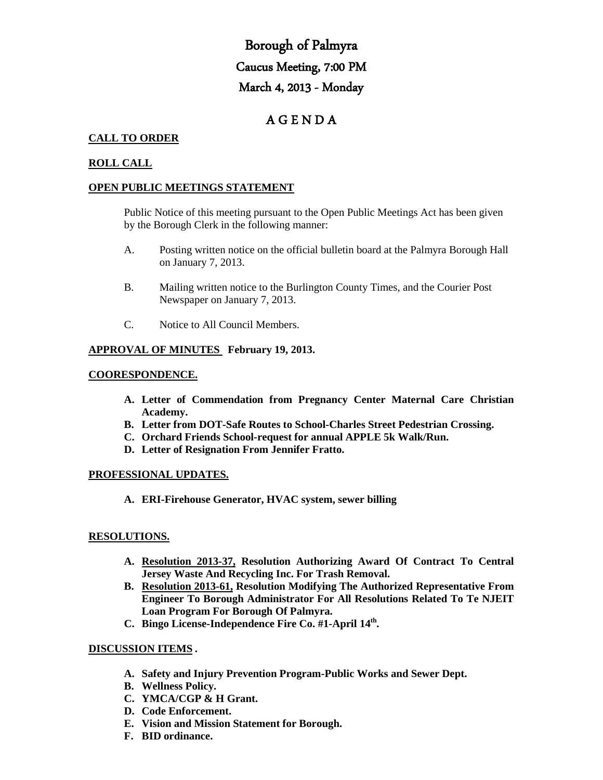# Borough of Palmyra Caucus Meeting, 7:00 PM March 4, 2013 - Monday

## A G E N D A

## **CALL TO ORDER**

## **ROLL CALL**

#### **OPEN PUBLIC MEETINGS STATEMENT**

Public Notice of this meeting pursuant to the Open Public Meetings Act has been given by the Borough Clerk in the following manner:

- A. Posting written notice on the official bulletin board at the Palmyra Borough Hall on January 7, 2013.
- B. Mailing written notice to the Burlington County Times, and the Courier Post Newspaper on January 7, 2013.
- C. Notice to All Council Members.

#### **APPROVAL OF MINUTES February 19, 2013.**

#### **COORESPONDENCE.**

- **A. Letter of Commendation from Pregnancy Center Maternal Care Christian Academy.**
- **B. Letter from DOT-Safe Routes to School-Charles Street Pedestrian Crossing.**
- **C. Orchard Friends School-request for annual APPLE 5k Walk/Run.**
- **D. Letter of Resignation From Jennifer Fratto.**

#### **PROFESSIONAL UPDATES.**

**A. ERI-Firehouse Generator, HVAC system, sewer billing**

#### **RESOLUTIONS.**

- **A. Resolution 2013-37, Resolution Authorizing Award Of Contract To Central Jersey Waste And Recycling Inc. For Trash Removal.**
- **B. Resolution 2013-61, Resolution Modifying The Authorized Representative From Engineer To Borough Administrator For All Resolutions Related To Te NJEIT Loan Program For Borough Of Palmyra.**
- **C. Bingo License-Independence Fire Co. #1-April 14th.**

#### **DISCUSSION ITEMS .**

- **A. Safety and Injury Prevention Program-Public Works and Sewer Dept.**
- **B. Wellness Policy.**
- **C. YMCA/CGP & H Grant.**
- **D. Code Enforcement.**
- **E. Vision and Mission Statement for Borough.**
- **F. BID ordinance.**